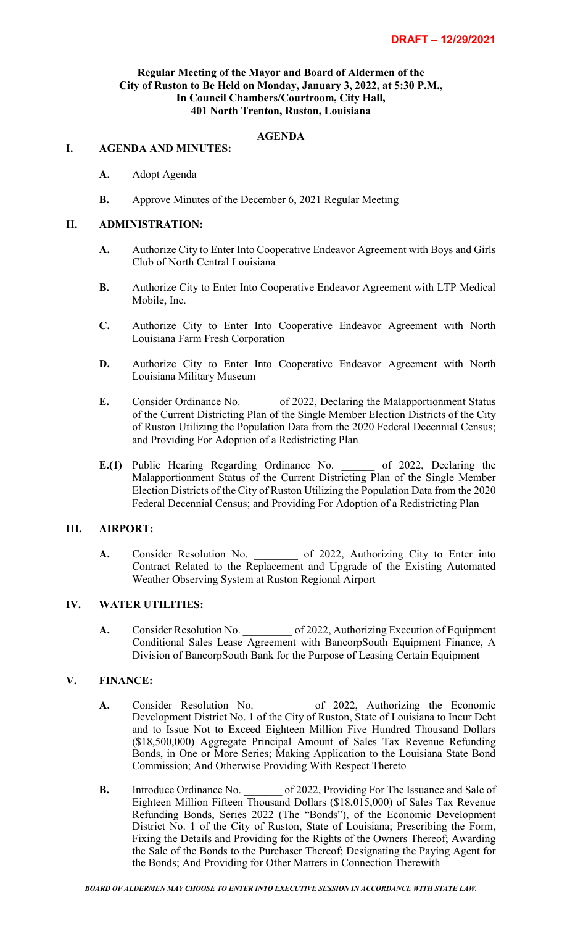## **Regular Meeting of the Mayor and Board of Aldermen of the City of Ruston to Be Held on Monday, January 3, 2022, at 5:30 P.M., In Council Chambers/Courtroom, City Hall, 401 North Trenton, Ruston, Louisiana**

## **AGENDA**

#### **I. AGENDA AND MINUTES:**

- **A.** Adopt Agenda
- **B.** Approve Minutes of the December 6, 2021 Regular Meeting

#### **II. ADMINISTRATION:**

- **A.** Authorize City to Enter Into Cooperative Endeavor Agreement with Boys and Girls Club of North Central Louisiana
- **B.** Authorize City to Enter Into Cooperative Endeavor Agreement with LTP Medical Mobile, Inc.
- **C.** Authorize City to Enter Into Cooperative Endeavor Agreement with North Louisiana Farm Fresh Corporation
- **D.** Authorize City to Enter Into Cooperative Endeavor Agreement with North Louisiana Military Museum
- **E.** Consider Ordinance No. \_\_\_\_\_\_\_ of 2022, Declaring the Malapportionment Status of the Current Districting Plan of the Single Member Election Districts of the City of Ruston Utilizing the Population Data from the 2020 Federal Decennial Census; and Providing For Adoption of a Redistricting Plan
- **E.(1)** Public Hearing Regarding Ordinance No. of 2022, Declaring the Malapportionment Status of the Current Districting Plan of the Single Member Election Districts of the City of Ruston Utilizing the Population Data from the 2020 Federal Decennial Census; and Providing For Adoption of a Redistricting Plan

#### **III. AIRPORT:**

**A.** Consider Resolution No. \_\_\_\_\_\_\_\_ of 2022, Authorizing City to Enter into Contract Related to the Replacement and Upgrade of the Existing Automated Weather Observing System at Ruston Regional Airport

## **IV. WATER UTILITIES:**

**A.** Consider Resolution No. \_\_\_\_\_\_\_\_\_ of 2022, Authorizing Execution of Equipment Conditional Sales Lease Agreement with BancorpSouth Equipment Finance, A Division of BancorpSouth Bank for the Purpose of Leasing Certain Equipment

### **V. FINANCE:**

- **A.** Consider Resolution No. \_\_\_\_\_\_\_\_ of 2022, Authorizing the Economic Development District No. 1 of the City of Ruston, State of Louisiana to Incur Debt and to Issue Not to Exceed Eighteen Million Five Hundred Thousand Dollars (\$18,500,000) Aggregate Principal Amount of Sales Tax Revenue Refunding Bonds, in One or More Series; Making Application to the Louisiana State Bond Commission; And Otherwise Providing With Respect Thereto
- **B.** Introduce Ordinance No. \_\_\_\_\_\_\_ of 2022, Providing For The Issuance and Sale of Eighteen Million Fifteen Thousand Dollars (\$18,015,000) of Sales Tax Revenue Refunding Bonds, Series 2022 (The "Bonds"), of the Economic Development District No. 1 of the City of Ruston, State of Louisiana; Prescribing the Form, Fixing the Details and Providing for the Rights of the Owners Thereof; Awarding the Sale of the Bonds to the Purchaser Thereof; Designating the Paying Agent for the Bonds; And Providing for Other Matters in Connection Therewith